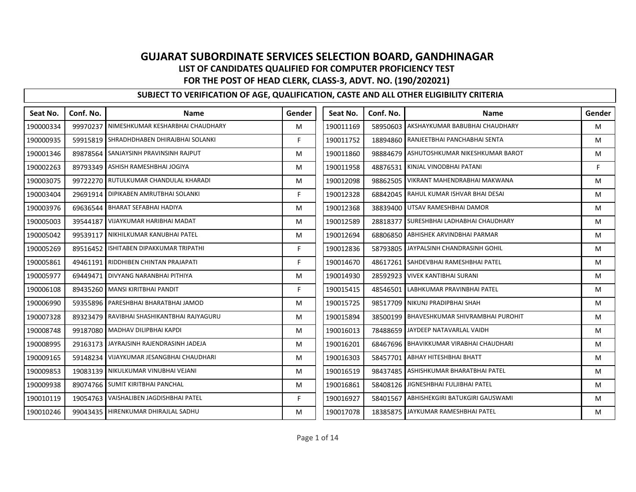| Seat No.  | Conf. No. | <b>Name</b>                                | Gender | Seat No.  | Conf. No. | <b>Name</b>                              | Gender |
|-----------|-----------|--------------------------------------------|--------|-----------|-----------|------------------------------------------|--------|
| 190000334 |           | 99970237 NIMESHKUMAR KESHARBHAI CHAUDHARY  | M      | 190011169 |           | 58950603 AKSHAYKUMAR BABUBHAI CHAUDHARY  | M      |
| 190000935 |           | 59915819 SHRADHDHABEN DHIRAJBHAI SOLANKI   | F.     | 190011752 |           | 18894860 RANJEETBHAI PANCHABHAI SENTA    | M      |
| 190001346 |           | 89878564 SANJAYSINH PRAVINSINH RAJPUT      | M      | 190011860 |           | 98884679 ASHUTOSHKUMAR NIKESHKUMAR BAROT | M      |
| 190002263 |           | 89793349 ASHISH RAMESHBHAI JOGIYA          | M      | 190011958 | 48876531  | KINJAL VINODBHAI PATANI                  | F      |
| 190003075 |           | 99722270 RUTULKUMAR CHANDULAL KHARADI      | м      | 190012098 |           | 98862505 VIKRANT MAHENDRABHAI MAKWANA    | M      |
| 190003404 |           | 29691914 DIPIKABEN AMRUTBHAI SOLANKI       | F.     | 190012328 |           | 68842045 RAHUL KUMAR ISHVAR BHAI DESAI   | M      |
| 190003976 |           | 69636544 BHARAT SEFABHAI HADIYA            | M      | 190012368 | 38839400  | UTSAV RAMESHBHAI DAMOR                   | M      |
| 190005003 | 39544187  | <b>VIJAYKUMAR HARIBHAI MADAT</b>           | M      | 190012589 | 28818377  | SURESHBHAI LADHABHAI CHAUDHARY           | M      |
| 190005042 |           | 99539117   NIKHILKUMAR KANUBHAI PATEL      | M      | 190012694 |           | 68806850 ABHISHEK ARVINDBHAI PARMAR      | M      |
| 190005269 |           | 89516452 ISHITABEN DIPAKKUMAR TRIPATHI     | F.     | 190012836 | 58793805  | JAYPALSINH CHANDRASINH GOHIL             | M      |
| 190005861 |           | 49461191 RIDDHIBEN CHINTAN PRAJAPATI       | F.     | 190014670 | 48617261  | SAHDEVBHAI RAMESHBHAI PATEL              | M      |
| 190005977 | 69449471  | DIVYANG NARANBHAI PITHIYA                  | M      | 190014930 | 28592923  | <b>VIVEK KANTIBHAI SURANI</b>            | M      |
| 190006108 |           | 89435260   MANSI KIRITBHAI PANDIT          | F.     | 190015415 |           | 48546501 LABHKUMAR PRAVINBHAI PATEL      | M      |
| 190006990 |           | 59355896 PARESHBHAI BHARATBHAI JAMOD       | M      | 190015725 |           | 98517709 NIKUNJ PRADIPBHAI SHAH          | M      |
| 190007328 |           | 89323479 RAVIBHAI SHASHIKANTBHAI RAJYAGURU | M      | 190015894 | 38500199  | <b>BHAVESHKUMAR SHIVRAMBHAI PUROHIT</b>  | M      |
| 190008748 |           | 99187080 MADHAV DILIPBHAI KAPDI            | M      | 190016013 | 78488659  | JAYDEEP NATAVARLAL VAIDH                 | M      |
| 190008995 |           | 29163173 JAYRAJSINH RAJENDRASINH JADEJA    | M      | 190016201 |           | 68467696 BHAVIKKUMAR VIRABHAI CHAUDHARI  | M      |
| 190009165 | 59148234  | VIJAYKUMAR JESANGBHAI CHAUDHARI            | M      | 190016303 | 58457701  | <b>ABHAY HITESHBHAI BHATT</b>            | M      |
| 190009853 |           | 19083139 NIKULKUMAR VINUBHAI VEJANI        | M      | 190016519 | 98437485  | ASHISHKUMAR BHARATBHAI PATEL             | M      |
| 190009938 |           | 89074766 SUMIT KIRITBHAI PANCHAL           | M      | 190016861 | 58408126  | JIGNESHBHAI FULJIBHAI PATEL              | M      |
| 190010119 |           | 19054763 VAISHALIBEN JAGDISHBHAI PATEL     | F.     | 190016927 |           | 58401567 ABHISHEKGIRI BATUKGIRI GAUSWAMI | M      |
| 190010246 |           | 99043435 HIRENKUMAR DHIRAJLAL SADHU        | м      | 190017078 |           | 18385875 JAYKUMAR RAMESHBHAI PATEL       | M      |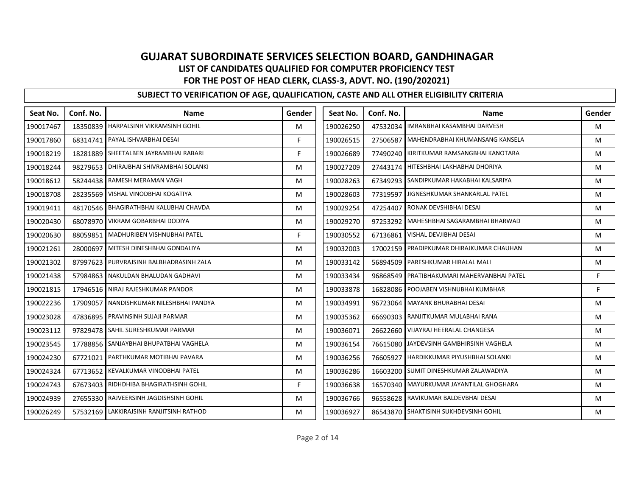| Seat No.  | Conf. No. | <b>Name</b>                               | Gender | Seat No.  | Conf. No. | <b>Name</b>                               | Gender |
|-----------|-----------|-------------------------------------------|--------|-----------|-----------|-------------------------------------------|--------|
| 190017467 |           | 18350839 HARPALSINH VIKRAMSINH GOHIL      | м      | 190026250 |           | 47532034 IMRANBHAI KASAMBHAI DARVESH      | M      |
| 190017860 |           | 68314741 PAYAL ISHVARBHAI DESAI           | F.     | 190026515 | 27506587  | MAHENDRABHAI KHUMANSANG KANSELA           | M      |
| 190018219 |           | 18281889 SHEETALBEN JAYRAMBHAI RABARI     | F.     | 190026689 |           | 77490240 KIRITKUMAR RAMSANGBHAI KANOTARA  | M      |
| 190018244 |           | 98279653   DHIRAJBHAI SHIVRAMBHAI SOLANKI | M      | 190027209 |           | 27443174 HITESHBHAI LAKHABHAI DHORIYA     | M      |
| 190018612 |           | 58244438 RAMESH MERAMAN VAGH              | M      | 190028263 | 67349293  | SANDIPKUMAR HAKABHAI KALSARIYA            | M      |
| 190018708 |           | 28235569 VISHAL VINODBHAI KOGATIYA        | M      | 190028603 | 77319597  | JIGNESHKUMAR SHANKARLAL PATEL             | M      |
| 190019411 |           | 48170546 BHAGIRATHBHAI KALUBHAI CHAVDA    | м      | 190029254 | 47254407  | RONAK DEVSHIBHAI DESAI                    | M      |
| 190020430 |           | 68078970 VIKRAM GOBARBHAI DODIYA          | M      | 190029270 |           | 97253292 MAHESHBHAI SAGARAMBHAI BHARWAD   | M      |
| 190020630 |           | 88059851 MADHURIBEN VISHNUBHAI PATEL      | F.     | 190030552 |           | 67136861 VISHAL DEVJIBHAI DESAI           | M      |
| 190021261 | 28000697  | MITESH DINESHBHAI GONDALIYA               | M      | 190032003 | 17002159  | PRADIPKUMAR DHIRAJKUMAR CHAUHAN           | M      |
| 190021302 | 87997623  | PURVRAJSINH BALBHADRASINH ZALA            | M      | 190033142 | 56894509  | PARESHKUMAR HIRALAL MALI                  | M      |
| 190021438 |           | 57984863 NAKULDAN BHALUDAN GADHAVI        | M      | 190033434 | 96868549  | PRATIBHAKUMARI MAHERVANBHAI PATEL         | F      |
| 190021815 |           | 17946516 NIRAJ RAJESHKUMAR PANDOR         | м      | 190033878 |           | 16828086 POOJABEN VISHNUBHAI KUMBHAR      | F      |
| 190022236 | 17909057  | NANDISHKUMAR NILESHBHAI PANDYA            | M      | 190034991 | 96723064  | MAYANK BHURABHAI DESAI                    | M      |
| 190023028 |           | 47836895 PRAVINSINH SUJAJI PARMAR         | M      | 190035362 | 66690303  | RANJITKUMAR MULABHAI RANA                 | M      |
| 190023112 |           | 97829478 SAHIL SURESHKUMAR PARMAR         | M      | 190036071 |           | 26622660 VIJAYRAJ HEERALAL CHANGESA       | M      |
| 190023545 |           | 17788856 SANJAYBHAI BHUPATBHAI VAGHELA    | M      | 190036154 | 76615080  | JAYDEVSINH GAMBHIRSINH VAGHELA            | M      |
| 190024230 |           | 67721021 PARTHKUMAR MOTIBHAI PAVARA       | M      | 190036256 | 76605927  | HARDIKKUMAR PIYUSHBHAI SOLANKI            | M      |
| 190024324 |           | 67713652 KEVALKUMAR VINODBHAI PATEL       | м      | 190036286 | 16603200  | SUMIT DINESHKUMAR ZALAWADIYA              | M      |
| 190024743 |           | 67673403 RIDHDHIBA BHAGIRATHSINH GOHIL    | F      | 190036638 |           | 16570340   MAYURKUMAR JAYANTILAL GHOGHARA | M      |
| 190024939 |           | 27655330 RAJVEERSINH JAGDISHSINH GOHIL    | M      | 190036766 |           | 96558628 RAVIKUMAR BALDEVBHAI DESAI       | M      |
| 190026249 |           | 57532169 LAKKIRAJSINH RANJITSINH RATHOD   | м      | 190036927 |           | 86543870 SHAKTISINH SUKHDEVSINH GOHIL     | M      |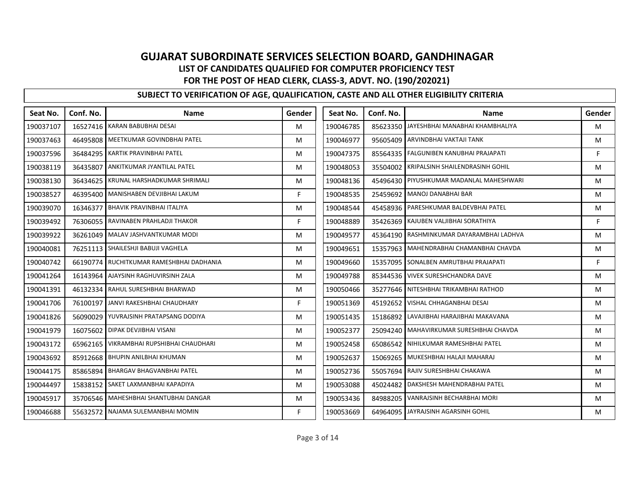| Seat No.  | Conf. No. | <b>Name</b>                                | Gender | Seat No.  | Conf. No. | <b>Name</b>                              | Gender |
|-----------|-----------|--------------------------------------------|--------|-----------|-----------|------------------------------------------|--------|
| 190037107 |           | 16527416 KARAN BABUBHAI DESAI              | M      | 190046785 |           | 85623350 JAYESHBHAI MANABHAI KHAMBHALIYA | M      |
| 190037463 |           | 46495808 MEETKUMAR GOVINDBHAI PATEL        | M      | 190046977 | 95605409  | ARVINDBHAI VAKTAJI TANK                  | M      |
| 190037596 |           | 36484295 KARTIK PRAVINBHAI PATEL           | M      | 190047375 | 85564335  | <b>FALGUNIBEN KANUBHAI PRAJAPATI</b>     | F      |
| 190038119 |           | 36435807 ANKITKUMAR JYANTILAL PATEL        | M      | 190048053 | 35504002  | KRIPALSINH SHAILENDRASINH GOHIL          | M      |
| 190038130 |           | 36434625 KRUNAL HARSHADKUMAR SHRIMALI      | M      | 190048136 |           | 45496430 PIYUSHKUMAR MADANLAL MAHESHWARI | M      |
| 190038527 | 46395400  | MANISHABEN DEVJIBHAI LAKUM                 | F      | 190048535 | 25459692  | MANOJ DANABHAI BAR                       | M      |
| 190039070 | 16346377  | <b>BHAVIK PRAVINBHAI ITALIYA</b>           | M      | 190048544 | 45458936  | <b>PARESHKUMAR BALDEVBHAI PATEL</b>      | M      |
| 190039492 |           | 76306055 RAVINABEN PRAHLADJI THAKOR        | F.     | 190048889 | 35426369  | KAJUBEN VALJIBHAI SORATHIYA              | F      |
| 190039922 |           | 36261049   MALAV JASHVANTKUMAR MODI        | M      | 190049577 |           | 45364190 RASHMINKUMAR DAYARAMBHAI LADHVA | M      |
| 190040081 |           | 76251113   SHAILESHJI BABUJI VAGHELA       | M      | 190049651 | 15357963  | MAHENDRABHAI CHAMANBHAI CHAVDA           | M      |
| 190040742 |           | 66190774 RUCHITKUMAR RAMESHBHAI DADHANIA   | M      | 190049660 | 15357095  | SONALBEN AMRUTBHAI PRAJAPATI             | F.     |
| 190041264 |           | 16143964 AJAYSINH RAGHUVIRSINH ZALA        | M      | 190049788 |           | 85344536 VIVEK SURESHCHANDRA DAVE        | M      |
| 190041391 |           | 46132334 RAHUL SURESHBHAI BHARWAD          | M      | 190050466 |           | 35277646 NITESHBHAI TRIKAMBHAI RATHOD    | M      |
| 190041706 |           | 76100197 JANVI RAKESHBHAI CHAUDHARY        | F      | 190051369 | 45192652  | VISHAL CHHAGANBHAI DESAI                 | M      |
| 190041826 |           | 56090029 YUVRAJSINH PRATAPSANG DODIYA      | M      | 190051435 | 15186892  | LAVAJIBHAI HARAJIBHAI MAKAVANA           | M      |
| 190041979 |           | 16075602 DIPAK DEVJIBHAI VISANI            | M      | 190052377 | 25094240  | MAHAVIRKUMAR SURESHBHAI CHAVDA           | M      |
| 190043172 |           | 65962165   VIKRAMBHAI RUPSHIBHAI CHAUDHARI | M      | 190052458 | 65086542  | NIHILKUMAR RAMESHBHAI PATEL              | M      |
| 190043692 | 85912668  | <b>BHUPIN ANILBHAI KHUMAN</b>              | M      | 190052637 | 15069265  | MUKESHBHAI HALAJI MAHARAJ                | M      |
| 190044175 | 85865894  | <b>BHARGAV BHAGVANBHAI PATEL</b>           | M      | 190052736 | 55057694  | RAJIV SURESHBHAI CHAKAWA                 | M      |
| 190044497 |           | 15838152 SAKET LAXMANBHAI KAPADIYA         | M      | 190053088 | 45024482  | DAKSHESH MAHENDRABHAI PATEL              | M      |
| 190045917 |           | 35706546 MAHESHBHAI SHANTUBHAI DANGAR      | M      | 190053436 | 84988205  | VANRAJSINH BECHARBHAI MORI               | M      |
| 190046688 |           | 55632572 NAJAMA SULEMANBHAI MOMIN          | F.     | 190053669 | 64964095  | JAYRAJSINH AGARSINH GOHIL                | M      |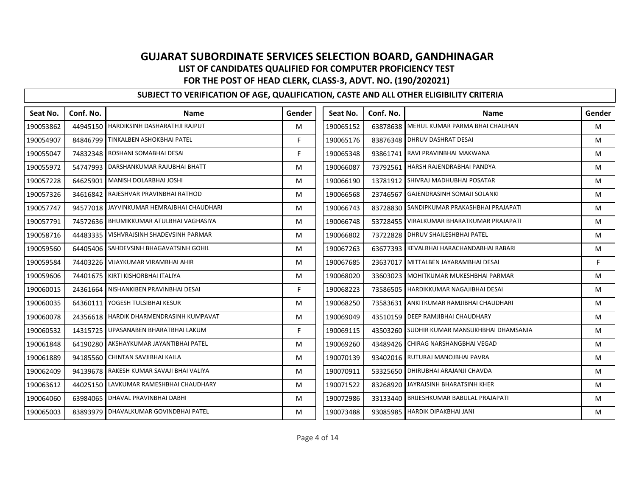| Seat No.  | Conf. No. | <b>Name</b>                               | Gender | Seat No.  | Conf. No. | <b>Name</b>                                 | Gender |
|-----------|-----------|-------------------------------------------|--------|-----------|-----------|---------------------------------------------|--------|
| 190053862 |           | 44945150 HARDIKSINH DASHARATHJI RAJPUT    | M      | 190065152 |           | 63878638 MEHUL KUMAR PARMA BHAI CHAUHAN     | M      |
| 190054907 |           | 84846799 TINKALBEN ASHOKBHAI PATEL        | F      | 190065176 |           | 83876348 DHRUV DASHRAT DESAI                | M      |
| 190055047 |           | 74832348 ROSHANI SOMABHAI DESAI           | F.     | 190065348 | 93861741  | RAVI PRAVINBHAI MAKWANA                     | M      |
| 190055972 |           | 54747993 DARSHANKUMAR RAJUBHAI BHATT      | M      | 190066087 | 73792561  | <b>HARSH RAJENDRABHAI PANDYA</b>            | M      |
| 190057228 | 64625901  | <b>MANISH DOLARBHAI JOSHI</b>             | M      | 190066190 | 13781912  | SHIVRAJ MADHUBHAI POSATAR                   | M      |
| 190057326 | 34616842  | RAJESHVAR PRAVINBHAI RATHOD               | M      | 190066568 | 23746567  | GAJENDRASINH SOMAJI SOLANKI                 | M      |
| 190057747 |           | 94577018 JAYVINKUMAR HEMRAJBHAI CHAUDHARI | м      | 190066743 | 83728830  | SANDIPKUMAR PRAKASHBHAI PRAJAPATI           | M      |
| 190057791 |           | 74572636 BHUMIKKUMAR ATULBHAI VAGHASIYA   | M      | 190066748 | 53728455  | VIRALKUMAR BHARATKUMAR PRAJAPATI            | M      |
| 190058716 |           | 44483335   VISHVRAJSINH SHADEVSINH PARMAR | м      | 190066802 |           | 73722828 DHRUV SHAILESHBHAI PATEL           | M      |
| 190059560 | 64405406  | <b>SAHDEVSINH BHAGAVATSINH GOHIL</b>      | M      | 190067263 | 63677393  | KEVALBHAI HARACHANDABHAI RABARI             | M      |
| 190059584 |           | 74403226 VIJAYKUMAR VIRAMBHAI AHIR        | M      | 190067685 | 23637017  | MITTALBEN JAYARAMBHAI DESAI                 | F.     |
| 190059606 |           | 74401675 KIRTI KISHORBHAI ITALIYA         | M      | 190068020 | 33603023  | MOHITKUMAR MUKESHBHAI PARMAR                | M      |
| 190060015 |           | 24361664 NISHANKIBEN PRAVINBHAI DESAI     | F.     | 190068223 | 73586505  | HARDIKKUMAR NAGAJIBHAI DESAI                | M      |
| 190060035 | 64360111  | YOGESH TULSIBHAI KESUR                    | M      | 190068250 | 73583631  | ANKITKUMAR RAMJIBHAI CHAUDHARI              | M      |
| 190060078 |           | 24356618 HARDIK DHARMENDRASINH KUMPAVAT   | M      | 190069049 |           | 43510159 DEEP RAMJIBHAI CHAUDHARY           | M      |
| 190060532 | 14315725  | UPASANABEN BHARATBHAI LAKUM               | F      | 190069115 |           | 43503260 SUDHIR KUMAR MANSUKHBHAI DHAMSANIA | M      |
| 190061848 |           | 64190280 AKSHAYKUMAR JAYANTIBHAI PATEL    | M      | 190069260 |           | 43489426 CHIRAG NARSHANGBHAI VEGAD          | M      |
| 190061889 |           | 94185560 CHINTAN SAVJIBHAI KAILA          | M      | 190070139 |           | 93402016 RUTURAJ MANOJBHAI PAVRA            | M      |
| 190062409 |           | 94139678 RAKESH KUMAR SAVAJI BHAI VALIYA  | м      | 190070911 | 53325650  | DHIRUBHAI ARAJANJI CHAVDA                   | M      |
| 190063612 |           | 44025150 LAVKUMAR RAMESHBHAI CHAUDHARY    | M      | 190071522 | 83268920  | JAYRAJSINH BHARATSINH KHER                  | M      |
| 190064060 |           | 63984065 DHAVAL PRAVINBHAI DABHI          | м      | 190072986 |           | 33133440 BRIJESHKUMAR BABULAL PRAJAPATI     | M      |
| 190065003 |           | 83893979 DHAVALKUMAR GOVINDBHAI PATEL     | м      | 190073488 |           | 93085985 HARDIK DIPAKBHAI JANI              | M      |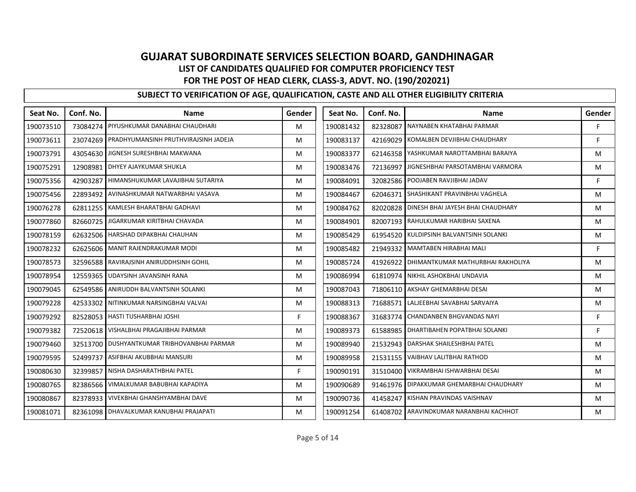| Seat No.  | Conf. No. | <b>Name</b>                                   | Gender | Seat No.  | Conf. No. | <b>Name</b>                              | Gender |
|-----------|-----------|-----------------------------------------------|--------|-----------|-----------|------------------------------------------|--------|
| 190073510 |           | 73084274 PIYUSHKUMAR DANABHAI CHAUDHARI       | M      | 190081432 | 82328087  | NAYNABEN KHATABHAI PARMAR                | F.     |
| 190073611 |           | 23074269 PRADHYUMANSINH PRUTHVIRAJSINH JADEJA | M      | 190083137 | 42169029  | KOMALBEN DEVJIBHAI CHAUDHARY             | F      |
| 190073791 |           | 43054630 JIGNESH SURESHBHAI MAKWANA           | M      | 190083377 |           | 62146358 YASHKUMAR NAROTTAMBHAI BARAIYA  | M      |
| 190075291 |           | 12908981 DHYEY AJAYKUMAR SHUKLA               | M      | 190083476 | 72136997  | JIGNESHBHAI PARSOTAMBHAI VARMORA         | M      |
| 190075356 |           | 42903287 HIMANSHUKUMAR LAVAJIBHAI SUTARIYA    | M      | 190084091 |           | 32082586 POOJABEN RAVJIBHAI JADAV        | F.     |
| 190075456 |           | 22893492 AVINASHKUMAR NATWARBHAI VASAVA       | M      | 190084467 | 62046371  | SHASHIKANT PRAVINBHAI VAGHELA            | M      |
| 190076278 |           | 62811255 KAMLESH BHARATBHAI GADHAVI           | M      | 190084762 | 82020828  | DINESH BHAI JAYESH BHAI CHAUDHARY        | M      |
| 190077860 |           | 82660725 JIGARKUMAR KIRITBHAI CHAVADA         | M      | 190084901 |           | 82007193 RAHULKUMAR HARIBHAI SAXENA      | M      |
| 190078159 |           | 62632506   HARSHAD DIPAKBHAI CHAUHAN          | M      | 190085429 |           | 61954520 KULDIPSINH BALVANTSINH SOLANKI  | M      |
| 190078232 |           | 62625606   MANIT RAJENDRAKUMAR MODI           | M      | 190085482 | 21949332  | MAMTABEN HIRABHAI MALI                   | F      |
| 190078573 |           | 32596588 RAVIRAJSINH ANIRUDDHSINH GOHIL       | M      | 190085724 | 41926922  | DHIMANTKUMAR MATHURBHAI RAKHOLIYA        | M      |
| 190078954 |           | 12559365 UDAYSINH JAVANSINH RANA              | M      | 190086994 | 61810974  | NIKHIL ASHOKBHAI UNDAVIA                 | M      |
| 190079045 |           | 62549586 ANIRUDDH BALVANTSINH SOLANKI         | M      | 190087043 |           | 71806110 AKSHAY GHEMARBHAI DESAI         | M      |
| 190079228 |           | 42533302 NITINKUMAR NARSINGBHAI VALVAI        | M      | 190088313 | 71688571  | LALJEEBHAI SAVABHAI SARVAIYA             | M      |
| 190079292 |           | 82528053   HASTI TUSHARBHAI JOSHI             | F      | 190088367 | 31683774  | <b>CHANDANBEN BHGVANDAS NAYI</b>         | F      |
| 190079382 |           | 72520618 VISHALBHAI PRAGAJIBHAI PARMAR        | M      | 190089373 | 61588985  | DHARTIBAHEN POPATBHAI SOLANKI            | F      |
| 190079460 |           | 32513700 DUSHYANTKUMAR TRIBHOVANBHAI PARMAR   | M      | 190089940 |           | 21532943 DARSHAK SHAILESHBHAI PATEL      | M      |
| 190079595 | 52499737  | ASIFBHAI AKUBBHAI MANSURI                     | M      | 190089958 | 21531155  | VAIBHAV LALITBHAI RATHOD                 | M      |
| 190080630 | 32399857  | NISHA DASHARATHBHAI PATEL                     | F.     | 190090191 | 31510400  | VIKRAMBHAI ISHWARBHAI DESAI              | M      |
| 190080765 |           | 82386566   VIMALKUMAR BABUBHAI KAPADIYA       | M      | 190090689 |           | 91461976 DIPAKKUMAR GHEMARBHAI CHAUDHARY | M      |
| 190080867 |           | 82378933   VIVEKBHAI GHANSHYAMBHAI DAVE       | M      | 190090736 | 41458247  | KISHAN PRAVINDAS VAISHNAV                | M      |
| 190081071 |           | 82361098 DHAVALKUMAR KANUBHAI PRAJAPATI       | M      | 190091254 |           | 61408702 ARAVINDKUMAR NARANBHAI KACHHOT  | M      |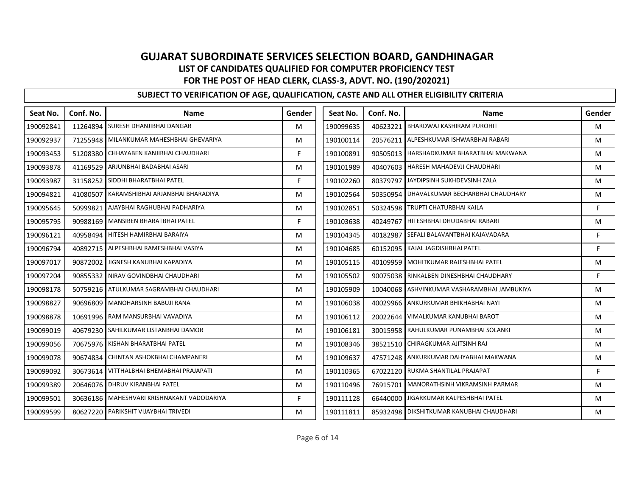| Seat No.  | Conf. No. | <b>Name</b>                                  | Gender | Seat No.  | Conf. No. | <b>Name</b>                              | Gender |
|-----------|-----------|----------------------------------------------|--------|-----------|-----------|------------------------------------------|--------|
| 190092841 |           | 11264894 SURESH DHANJIBHAI DANGAR            | м      | 190099635 | 40623221  | <b>BHARDWAJ KASHIRAM PUROHIT</b>         | M      |
| 190092937 |           | 71255948 MILANKUMAR MAHESHBHAI GHEVARIYA     | M      | 190100114 | 20576211  | ALPESHKUMAR ISHWARBHAI RABARI            | М      |
| 190093453 | 51208380  | CHHAYABEN KANJIBHAI CHAUDHARI                | F.     | 190100891 | 90505013  | HARSHADKUMAR BHARATBHAI MAKWANA          | М      |
| 190093878 |           | 41169529 ARJUNBHAI BADABHAI ASARI            | M      | 190101989 | 40407603  | HARESH MAHADEVJI CHAUDHARI               | M      |
| 190093987 |           | 31158252 SIDDHI BHARATBHAI PATEL             | F.     | 190102260 | 80379797  | JAYDIPSINH SUKHDEVSINH ZALA              | M      |
| 190094821 | 41080507  | KARAMSHIBHAI ARJANBHAI BHARADIYA             | M      | 190102564 | 50350954  | DHAVALKUMAR BECHARBHAI CHAUDHARY         | М      |
| 190095645 |           | 50999821 AJAYBHAI RAGHUBHAI PADHARIYA        | M      | 190102851 | 50324598  | <b>TRUPTI CHATURBHAI KAILA</b>           | F      |
| 190095795 |           | 90988169 MANSIBEN BHARATBHAI PATEL           | F      | 190103638 | 40249767  | HITESHBHAI DHUDABHAI RABARI              | M      |
| 190096121 |           | 40958494 HITESH HAMIRBHAI BARAIYA            | м      | 190104345 | 40182987  | SEFALI BALAVANTBHAI KAJAVADARA           | F      |
| 190096794 | 40892715  | ALPESHBHAI RAMESHBHAI VASIYA                 | м      | 190104685 | 60152095  | KAJAL JAGDISHBHAI PATEL                  | F      |
| 190097017 |           | 90872002 JIGNESH KANUBHAI KAPADIYA           | м      | 190105115 | 40109959  | MOHITKUMAR RAJESHBHAI PATEL              | M      |
| 190097204 |           | 90855332 NIRAV GOVINDBHAI CHAUDHARI          | M      | 190105502 | 90075038  | RINKALBEN DINESHBHAI CHAUDHARY           | F      |
| 190098178 |           | 50759216 ATULKUMAR SAGRAMBHAI CHAUDHARI      | м      | 190105909 | 10040068  | ASHVINKUMAR VASHARAMBHAI JAMBUKIYA       | M      |
| 190098827 |           | 90696809 MANOHARSINH BABUJI RANA             | M      | 190106038 | 40029966  | ANKURKUMAR BHIKHABHAI NAYI               | М      |
| 190098878 |           | 10691996 RAM MANSURBHAI VAVADIYA             | M      | 190106112 | 20022644  | VIMALKUMAR KANUBHAI BAROT                | M      |
| 190099019 |           | 40679230 SAHILKUMAR LISTANBHAI DAMOR         | M      | 190106181 | 30015958  | RAHULKUMAR PUNAMBHAI SOLANKI             | M      |
| 190099056 |           | 70675976 KISHAN BHARATBHAI PATEL             | M      | 190108346 | 38521510  | CHIRAGKUMAR AJITSINH RAJ                 | M      |
| 190099078 |           | 90674834 CHINTAN ASHOKBHAI CHAMPANERI        | M      | 190109637 | 47571248  | ANKURKUMAR DAHYABHAI MAKWANA             | М      |
| 190099092 |           | 30673614 VITTHALBHAI BHEMABHAI PRAJAPATI     | м      | 190110365 | 67022120  | <b>RUKMA SHANTILAL PRAJAPAT</b>          | F      |
| 190099389 |           | 20646076 DHRUV KIRANBHAI PATEL               | м      | 190110496 | 76915701  | MANORATHSINH VIKRAMSINH PARMAR           | M      |
| 190099501 |           | 30636186   MAHESHVARI KRISHNAKANT VADODARIYA | F      | 190111128 | 66440000  | JIGARKUMAR KALPESHBHAI PATEL             | M      |
| 190099599 |           | 80627220 PARIKSHIT VIJAYBHAI TRIVEDI         | M      | 190111811 |           | 85932498 DIKSHITKUMAR KANUBHAI CHAUDHARI | М      |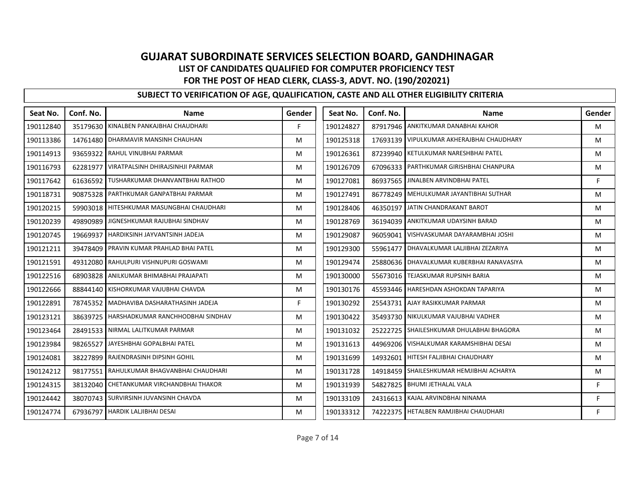| Seat No.  | Conf. No. | <b>Name</b>                          | Gender | Seat No.  | Conf. No. | <b>Name</b>                               | Gender |
|-----------|-----------|--------------------------------------|--------|-----------|-----------|-------------------------------------------|--------|
| 190112840 | 35179630  | KINALBEN PANKAJBHAI CHAUDHARI        | Е      | 190124827 |           | 87917946 ANKITKUMAR DANABHAI KAHOR        | M      |
| 190113386 | 14761480  | DHARMAVIR MANSINH CHAUHAN            | M      | 190125318 |           | 17693139 VIPULKUMAR AKHERAJBHAI CHAUDHARY | M      |
| 190114913 | 93659322  | RAHUL VINUBHAI PARMAR                | M      | 190126361 |           | 87239940 KETULKUMAR NARESHBHAI PATEL      | M      |
| 190116793 | 62281977  | VIRATPALSINH DHIRAJSINHJI PARMAR     | M      | 190126709 |           | 67096333 PARTHKUMAR GIRISHBHAI CHANPURA   | M      |
| 190117642 | 61636592  | TUSHARKUMAR DHANVANTBHAI RATHOD      | M      | 190127081 | 86937565  | JINALBEN ARVINDBHAI PATEL                 | F      |
| 190118731 | 90875328  | PARTHKUMAR GANPATBHAI PARMAR         | M      | 190127491 | 86778249  | MEHULKUMAR JAYANTIBHAI SUTHAR             | M      |
| 190120215 | 59903018  | HITESHKUMAR MASUNGBHAI CHAUDHARI     | M      | 190128406 | 46350197  | JATIN CHANDRAKANT BAROT                   | M      |
| 190120239 | 49890989  | JIGNESHKUMAR RAJUBHAI SINDHAV        | M      | 190128769 |           | 36194039 ANKITKUMAR UDAYSINH BARAD        | M      |
| 190120745 | 19669937  | HARDIKSINH JAYVANTSINH JADEJA        | M      | 190129087 |           | 96059041   VISHVASKUMAR DAYARAMBHAI JOSHI | M      |
| 190121211 | 39478409  | PRAVIN KUMAR PRAHLAD BHAI PATEL      | M      | 190129300 | 55961477  | DHAVALKUMAR LALJIBHAI ZEZARIYA            | M      |
| 190121591 | 49312080  | RAHULPURI VISHNUPURI GOSWAMI         | M      | 190129474 | 25880636  | DHAVALKUMAR KUBERBHAI RANAVASIYA          | M      |
| 190122516 | 68903828  | ANILKUMAR BHIMABHAI PRAJAPATI        | M      | 190130000 |           | 55673016 TEJASKUMAR RUPSINH BARIA         | M      |
| 190122666 | 88844140  | KISHORKUMAR VAJUBHAI CHAVDA          | M      | 190130176 |           | 45593446 HARESHDAN ASHOKDAN TAPARIYA      | M      |
| 190122891 | 78745352  | MADHAVIBA DASHARATHASINH JADEJA      | F      | 190130292 |           | 25543731 AJAY RASIKKUMAR PARMAR           | M      |
| 190123121 | 38639725  | HARSHADKUMAR RANCHHODBHAI SINDHAV    | M      | 190130422 |           | 35493730 NIKULKUMAR VAJUBHAI VADHER       | M      |
| 190123464 | 28491533  | NIRMAL LALITKUMAR PARMAR             | M      | 190131032 | 25222725  | SHAILESHKUMAR DHULABHAI BHAGORA           | M      |
| 190123984 | 98265527  | JAYESHBHAI GOPALBHAI PATEL           | M      | 190131613 |           | 44969206 VISHALKUMAR KARAMSHIBHAI DESAI   | M      |
| 190124081 | 38227899  | RAJENDRASINH DIPSINH GOHIL           | M      | 190131699 | 14932601  | HITESH FALJIBHAI CHAUDHARY                | M      |
| 190124212 | 98177551  | RAHULKUMAR BHAGVANBHAI CHAUDHARI     | M      | 190131728 | 14918459  | SHAILESHKUMAR HEMJIBHAI ACHARYA           | M      |
| 190124315 | 38132040  | CHETANKUMAR VIRCHANDBHAI THAKOR      | M      | 190131939 |           | 54827825 BHUMI JETHALAL VALA              | F      |
| 190124442 |           | 38070743 SURVIRSINH JUVANSINH CHAVDA | M      | 190133109 |           | 24316613 KAJAL ARVINDBHAI NINAMA          | F      |
| 190124774 |           | 67936797   HARDIK LALJIBHAI DESAI    | M      | 190133312 |           | 74222375 HETALBEN RAMJIBHAI CHAUDHARI     | F      |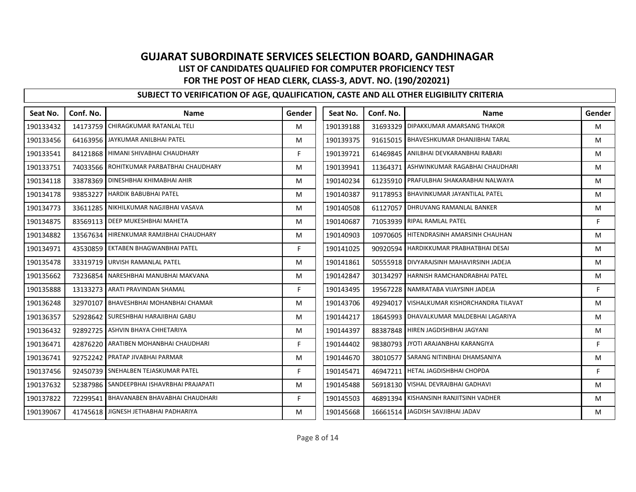| Seat No.  | Conf. No. | <b>Name</b>                               | Gender | Seat No.  | Conf. No. | <b>Name</b>                          | Gender |
|-----------|-----------|-------------------------------------------|--------|-----------|-----------|--------------------------------------|--------|
| 190133432 |           | 14173759 CHIRAGKUMAR RATANLAL TELI        | м      | 190139188 | 31693329  | <b>DIPAKKUMAR AMARSANG THAKOR</b>    | M      |
| 190133456 |           | 64163956 JAYKUMAR ANILBHAI PATEL          | M      | 190139375 | 91615015  | <b>BHAVESHKUMAR DHANJIBHAI TARAL</b> | M      |
| 190133541 |           | 84121868 HIMANI SHIVABHAI CHAUDHARY       | F.     | 190139721 | 61469845  | ANILBHAI DEVKARANBHAI RABARI         | M      |
| 190133751 |           | 74033566 ROHITKUMAR PARBATBHAI CHAUDHARY  | M      | 190139941 | 11364371  | ASHWINKUMAR RAGABHAI CHAUDHARI       | M      |
| 190134118 |           | 33878369 DINESHBHAI KHIMABHAI AHIR        | M      | 190140234 | 61235910  | PRAFULBHAI SHAKARABHAI NALWAYA       | M      |
| 190134178 | 93853227  | <b>HARDIK BABUBHAI PATEL</b>              | м      | 190140387 | 91178953  | BHAVINKUMAR JAYANTILAL PATEL         | м      |
| 190134773 |           | 33611285 NIKHILKUMAR NAGJIBHAI VASAVA     | м      | 190140508 | 61127057  | DHRUVANG RAMANLAL BANKER             | M      |
| 190134875 |           | 83569113 DEEP MUKESHBHAI MAHETA           | M      | 190140687 | 71053939  | <b>RIPAL RAMLAL PATEL</b>            | F      |
| 190134882 |           | 13567634 HIRENKUMAR RAMJIBHAI CHAUDHARY   | м      | 190140903 | 10970605  | HITENDRASINH AMARSINH CHAUHAN        | M      |
| 190134971 | 43530859  | <b>EKTABEN BHAGWANBHAI PATEL</b>          | F.     | 190141025 | 90920594  | HARDIKKUMAR PRABHATBHAI DESAI        | M      |
| 190135478 | 33319719  | URVISH RAMANLAL PATEL                     | M      | 190141861 | 50555918  | DIVYARAJSINH MAHAVIRSINH JADEJA      | M      |
| 190135662 | 73236854  | NARESHBHAI MANUBHAI MAKVANA               | M      | 190142847 | 30134297  | HARNISH RAMCHANDRABHAI PATEL         | M      |
| 190135888 |           | 13133273 ARATI PRAVINDAN SHAMAL           | F.     | 190143495 | 19567228  | NAMRATABA VIJAYSINH JADEJA           | F      |
| 190136248 | 32970107  | <b>BHAVESHBHAI MOHANBHAI CHAMAR</b>       | м      | 190143706 | 49294017  | VISHALKUMAR KISHORCHANDRA TILAVAT    | м      |
| 190136357 |           | 52928642 SURESHBHAI HARAJIBHAI GABU       | м      | 190144217 | 18645993  | DHAVALKUMAR MALDEBHAI LAGARIYA       | M      |
| 190136432 |           | 92892725 ASHVIN BHAYA CHHETARIYA          | M      | 190144397 | 88387848  | HIREN JAGDISHBHAI JAGYANI            | M      |
| 190136471 |           | 42876220 ARATIBEN MOHANBHAI CHAUDHARI     | F.     | 190144402 | 98380793  | JYOTI ARAJANBHAI KARANGIYA           | F      |
| 190136741 | 92752242  | <b>PRATAP JIVABHAI PARMAR</b>             | M      | 190144670 | 38010577  | SARANG NITINBHAI DHAMSANIYA          | M      |
| 190137456 |           | 92450739 SNEHALBEN TEJASKUMAR PATEL       | F.     | 190145471 | 46947211  | HETAL JAGDISHBHAI CHOPDA             | F      |
| 190137632 |           | 52387986 SANDEEPBHAI ISHAVRBHAI PRAJAPATI | M      | 190145488 | 56918130  | <b>VISHAL DEVRAJBHAI GADHAVI</b>     | M      |
| 190137822 |           | 72299541 BHAVANABEN BHAVABHAI CHAUDHARI   | F.     | 190145503 | 46891394  | KISHANSINH RANJITSINH VADHER         | M      |
| 190139067 |           | 41745618 JIGNESH JETHABHAI PADHARIYA      | м      | 190145668 | 16661514  | JAGDISH SAVJIBHAI JADAV              | М      |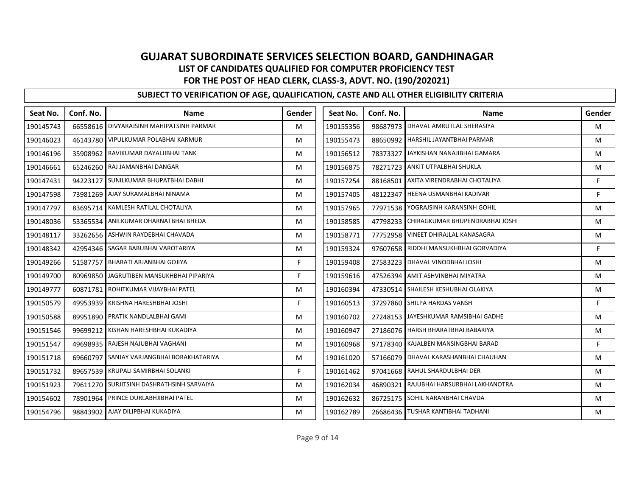| Seat No.  | Conf. No. | <b>Name</b>                                | Gender | Seat No.  | Conf. No. | <b>Name</b>                         | Gender |
|-----------|-----------|--------------------------------------------|--------|-----------|-----------|-------------------------------------|--------|
| 190145743 |           | 66558616   DIVYARAJSINH MAHIPATSINH PARMAR | M      | 190155356 | 98687973  | DHAVAL AMRUTLAL SHERASIYA           | M      |
| 190146023 |           | 46143780 VIPULKUMAR POLABHAI KARMUR        | M      | 190155473 | 88650992  | HARSHIL JAYANTBHAI PARMAR           | M      |
| 190146196 |           | 35908962 RAVIKUMAR DAYALJIBHAI TANK        | м      | 190156512 | 78373327  | JAYKISHAN NANAJIBHAI GAMARA         | M      |
| 190146661 |           | 65246260 RAJ JAMANBHAI DANGAR              | M      | 190156875 |           | 78271723 ANKIT UTPALBHAI SHUKLA     | M      |
| 190147431 |           | 94223127 SUNILKUMAR BHUPATBHAI DABHI       | M      | 190157254 | 88168501  | AXITA VIRENDRABHAI CHOTALIYA        | F      |
| 190147598 |           | 73981269 AJAY SURAMALBHAI NINAMA           | M      | 190157405 | 48122347  | HEENA USMANBHAI KADIVAR             | F      |
| 190147797 |           | 83695714 KAMLESH RATILAL CHOTALIYA         | M      | 190157965 | 77971538  | YOGRAJSINH KARANSINH GOHIL          | M      |
| 190148036 |           | 53365534 ANILKUMAR DHARNATBHAI BHEDA       | M      | 190158585 | 47798233  | CHIRAGKUMAR BHUPENDRABHAI JOSHI     | M      |
| 190148117 |           | 33262656 ASHWIN RAYDEBHAI CHAVADA          | M      | 190158771 |           | 77752958 VINEET DHIRAJLAL KANASAGRA | M      |
| 190148342 |           | 42954346 SAGAR BABUBHAI VAROTARIYA         | M      | 190159324 | 97607658  | RIDDHI MANSUKHBHAI GORVADIYA        | F      |
| 190149266 | 51587757  | <b>BHARATI ARJANBHAI GOJIYA</b>            | F.     | 190159408 | 27583223  | DHAVAL VINODBHAI JOSHI              | M      |
| 190149700 |           | 80969850 JAGRUTIBEN MANSUKHBHAI PIPARIYA   | F      | 190159616 |           | 47526394 AMIT ASHVINBHAI MIYATRA    | M      |
| 190149777 |           | 60871781 ROHITKUMAR VIJAYBHAI PATEL        | M      | 190160394 |           | 47330514 SHAILESH KESHUBHAI OLAKIYA | M      |
| 190150579 |           | 49953939 KRISHNA HARESHBHAI JOSHI          | F      | 190160513 |           | 37297860 SHILPA HARDAS VANSH        | F      |
| 190150588 |           | 89951890 PRATIK NANDLALBHAI GAMI           | M      | 190160702 | 27248153  | JAYESHKUMAR RAMSIBHAI GADHE         | M      |
| 190151546 |           | 99699212 KISHAN HARESHBHAI KUKADIYA        | M      | 190160947 |           | 27186076 HARSH BHARATBHAI BABARIYA  | M      |
| 190151547 |           | 49698935 RAJESH NAJUBHAI VAGHANI           | M      | 190160968 | 97178340  | KAJALBEN MANSINGBHAI BARAD          | F      |
| 190151718 | 69660797  | SANJAY VARJANGBHAI BORAKHATARIYA           | M      | 190161020 | 57166079  | DHAVAL KARASHANBHAI CHAUHAN         | M      |
| 190151732 |           | 89657539 KRUPALI SAMIRBHAI SOLANKI         | F.     | 190161462 | 97041668  | <b>RAHUL SHARDULBHAI DER</b>        | M      |
| 190151923 |           | 79611270 SURJITSINH DASHRATHSINH SARVAIYA  | M      | 190162034 | 46890321  | RAJUBHAI HARSURBHAI LAKHANOTRA      | M      |
| 190154602 |           | 78901964 PRINCE DURLABHJIBHAI PATEL        | M      | 190162632 | 86725175  | SOHIL NARANBHAI CHAVDA              | M      |
| 190154796 |           | 98843902 AJAY DILIPBHAI KUKADIYA           | м      | 190162789 |           | 26686436 TUSHAR KANTIBHAI TADHANI   | M      |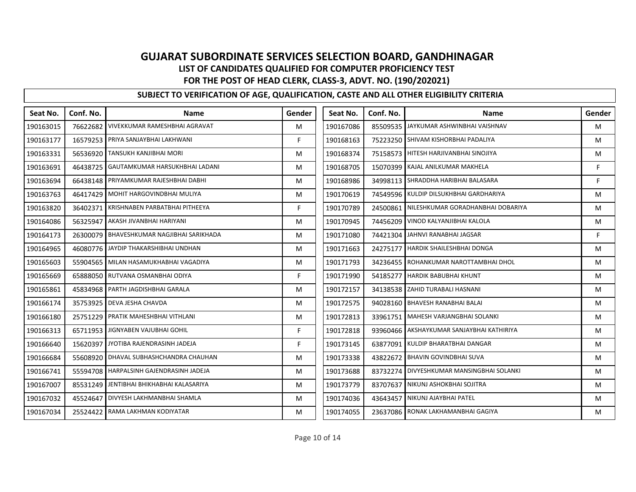| Seat No.  | Conf. No. | <b>Name</b>                                | Gender | Seat No.  | Conf. No. | <b>Name</b>                       | Gender |
|-----------|-----------|--------------------------------------------|--------|-----------|-----------|-----------------------------------|--------|
| 190163015 |           | 76622682 VIVEKKUMAR RAMESHBHAI AGRAVAT     | м      | 190167086 | 85509535  | JAYKUMAR ASHWINBHAI VAISHNAV      | M      |
| 190163177 |           | 16579253 PRIYA SANJAYBHAI LAKHWANI         | F.     | 190168163 | 75223250  | SHIVAM KISHORBHAI PADALIYA        | M      |
| 190163331 |           | 56536920 TANSUKH KANJIBHAI MORI            | M      | 190168374 | 75158573  | HITESH HARJIVANBHAI SINOJIYA      | M      |
| 190163691 | 46438725  | GAUTAMKUMAR HARSUKHBHAI LADANI             | M      | 190168705 | 15070399  | KAJAL ANILKUMAR MAKHELA           | F      |
| 190163694 |           | 66438148 PRIYAMKUMAR RAJESHBHAI DABHI      | M      | 190168986 | 34998113  | SHRADDHA HARIBHAI BALASARA        | F      |
| 190163763 | 46417429  | MOHIT HARGOVINDBHAI MULIYA                 | м      | 190170619 | 74549596  | KULDIP DILSUKHBHAI GARDHARIYA     | м      |
| 190163820 | 36402371  | KRISHNABEN PARBATBHAI PITHEEYA             | F.     | 190170789 | 24500861  | NILESHKUMAR GORADHANBHAI DOBARIYA | M      |
| 190164086 | 56325947  | AKASH JIVANBHAI HARIYANI                   | M      | 190170945 | 74456209  | VINOD KALYANJIBHAI KALOLA         | M      |
| 190164173 |           | 26300079 BHAVESHKUMAR NAGJIBHAI SARIKHADA  | м      | 190171080 | 74421304  | JAHNVI RANABHAI JAGSAR            | F      |
| 190164965 |           | 46080776 JAYDIP THAKARSHIBHAI UNDHAN       | M      | 190171663 | 24275177  | HARDIK SHAILESHBHAI DONGA         | M      |
| 190165603 |           | 55904565 MILAN HASAMUKHABHAI VAGADIYA      | M      | 190171793 | 34236455  | ROHANKUMAR NAROTTAMBHAI DHOL      | M      |
| 190165669 |           | 65888050 RUTVANA OSMANBHAI ODIYA           | F      | 190171990 | 54185277  | <b>HARDIK BABUBHAI KHUNT</b>      | M      |
| 190165861 |           | 45834968 PARTH JAGDISHBHAI GARALA          | м      | 190172157 | 34138538  | <b>ZAHID TURABALI HASNANI</b>     | M      |
| 190166174 |           | 35753925 DEVA JESHA CHAVDA                 | м      | 190172575 | 94028160  | <b>BHAVESH RANABHAI BALAI</b>     | м      |
| 190166180 |           | 25751229 PRATIK MAHESHBHAI VITHLANI        | м      | 190172813 | 33961751  | MAHESH VARJANGBHAI SOLANKI        | M      |
| 190166313 |           | 65711953 JIGNYABEN VAJUBHAI GOHIL          | F      | 190172818 | 93960466  | AKSHAYKUMAR SANJAYBHAI KATHIRIYA  | M      |
| 190166640 |           | 15620397 JYOTIBA RAJENDRASINH JADEJA       | F.     | 190173145 | 63877091  | KULDIP BHARATBHAI DANGAR          | M      |
| 190166684 | 55608920  | DHAVAL SUBHASHCHANDRA CHAUHAN              | M      | 190173338 | 43822672  | <b>BHAVIN GOVINDBHAI SUVA</b>     | M      |
| 190166741 |           | 55594708 HARPALSINH GAJENDRASINH JADEJA    | м      | 190173688 | 83732274  | DIVYESHKUMAR MANSINGBHAI SOLANKI  | M      |
| 190167007 |           | 85531249   JENTIBHAI BHIKHABHAI KALASARIYA | M      | 190173779 | 83707637  | NIKUNJ ASHOKBHAI SOJITRA          | M      |
| 190167032 |           | 45524647 DIVYESH LAKHMANBHAI SHAMLA        | M      | 190174036 |           | 43643457 NIKUNJ AJAYBHAI PATEL    | M      |
| 190167034 |           | 25524422 RAMA LAKHMAN KODIYATAR            | м      | 190174055 | 23637086  | RONAK LAKHAMANBHAI GAGIYA         | М      |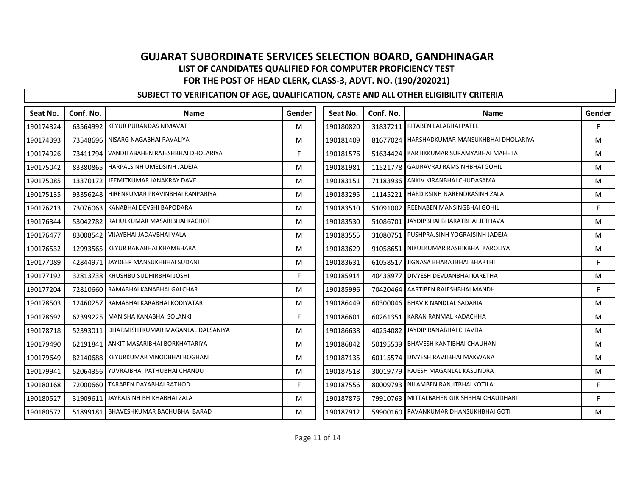| Seat No.  | Conf. No. | <b>Name</b>                                | Gender | Seat No.  | Conf. No. | <b>Name</b>                             | Gender |
|-----------|-----------|--------------------------------------------|--------|-----------|-----------|-----------------------------------------|--------|
| 190174324 |           | 63564992 KEYUR PURANDAS NIMAVAT            | M      | 190180820 |           | 31837211 RITABEN LALABHAI PATEL         | F      |
| 190174393 |           | 73548696 NISARG NAGABHAI RAVALIYA          | M      | 190181409 | 81677024  | HARSHADKUMAR MANSUKHBHAI DHOLARIYA      | M      |
| 190174926 |           | 73411794 VANDITABAHEN RAJESHBHAI DHOLARIYA | F      | 190181576 | 51634424  | KARTIKKUMAR SURAMYABHAI MAHETA          | M      |
| 190175042 |           | 83380865 HARPALSINH UMEDSINH JADEJA        | M      | 190181981 | 11521778  | GAURAVRAJ RAMSINHBHAI GOHIL             | M      |
| 190175085 |           | 13370172 JEEMITKUMAR JANAKRAY DAVE         | M      | 190183151 |           | 71183936 ANKIV KIRANBHAI CHUDASAMA      | M      |
| 190175135 |           | 93356248   HIRENKUMAR PRAVINBHAI RANPARIYA | M      | 190183295 | 11145221  | HARDIKSINH NARENDRASINH ZALA            | M      |
| 190176213 |           | 73076063 KANABHAI DEVSHI BAPODARA          | M      | 190183510 | 51091002  | REENABEN MANSINGBHAI GOHIL              | F.     |
| 190176344 |           | 53042782 RAHULKUMAR MASARIBHAI KACHOT      | M      | 190183530 | 51086701  | JAYDIPBHAI BHARATBHAI JETHAVA           | M      |
| 190176477 |           | 83008542 VIJAYBHAI JADAVBHAI VALA          | M      | 190183555 |           | 31080751 PUSHPRAJSINH YOGRAJSINH JADEJA | M      |
| 190176532 |           | 12993565 KEYUR RANABHAI KHAMBHARA          | M      | 190183629 | 91058651  | NIKULKUMAR RASHIKBHAI KAROLIYA          | M      |
| 190177089 |           | 42844971 JAYDEEP MANSUKHBHAI SUDANI        | M      | 190183631 | 61058517  | JIGNASA BHARATBHAI BHARTHI              | F      |
| 190177192 |           | 32813738 KHUSHBU SUDHIRBHAI JOSHI          | F.     | 190185914 | 40438977  | DIVYESH DEVDANBHAI KARETHA              | M      |
| 190177204 |           | 72810660 RAMABHAI KANABHAI GALCHAR         | M      | 190185996 | 70420464  | AARTIBEN RAJESHBHAI MANDH               | F.     |
| 190178503 | 12460257  | RAMABHAI KARABHAI KODIYATAR                | M      | 190186449 | 60300046  | <b>BHAVIK NANDLAL SADARIA</b>           | M      |
| 190178692 |           | 62399225 MANISHA KANABHAI SOLANKI          | F.     | 190186601 | 60261351  | KARAN RANMAL KADACHHA                   | M      |
| 190178718 |           | 52393011 DHARMISHTKUMAR MAGANLAL DALSANIYA | M      | 190186638 | 40254082  | JAYDIP RANABHAI CHAVDA                  | M      |
| 190179490 |           | 62191841 ANKIT MASARIBHAI BORKHATARIYA     | M      | 190186842 |           | 50195539 BHAVESH KANTIBHAI CHAUHAN      | M      |
| 190179649 |           | 82140688 KEYURKUMAR VINODBHAI BOGHANI      | M      | 190187135 | 60115574  | DIVYESH RAVJIBHAI MAKWANA               | M      |
| 190179941 | 52064356  | YUVRAJBHAI PATHUBHAI CHANDU                | M      | 190187518 | 30019779  | RAJESH MAGANLAL KASUNDRA                | M      |
| 190180168 |           | 72000660 TARABEN DAYABHAI RATHOD           | F      | 190187556 |           | 80009793 NILAMBEN RANJITBHAI KOTILA     | F      |
| 190180527 |           | 31909611 JAYRAJSINH BHIKHABHAI ZALA        | M      | 190187876 | 79910763  | MITTALBAHEN GIRISHBHAI CHAUDHARI        | F.     |
| 190180572 |           | 51899181 BHAVESHKUMAR BACHUBHAI BARAD      | M      | 190187912 |           | 59900160 PAVANKUMAR DHANSUKHBHAI GOTI   | M      |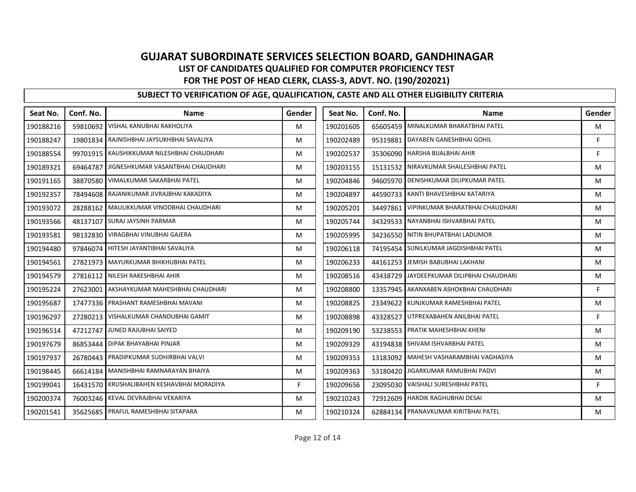| Seat No.  | Conf. No. | <b>Name</b>                                  | Gender | Seat No.  | Conf. No. | <b>Name</b>                       | Gender |
|-----------|-----------|----------------------------------------------|--------|-----------|-----------|-----------------------------------|--------|
| 190188216 |           | 59810692 VISHAL KANUBHAI RAKHOLIYA           | м      | 190201605 | 65605459  | MINALKUMAR BHARATBHAI PATEL       | M      |
| 190188247 |           | 19801834 RAJNISHBHAI JAYSUKHBHAI SAVALIYA    | M      | 190202489 | 95319881  | DAYABEN GANESHBHAI GOHIL          | F      |
| 190188554 |           | 99701915   KAUSHIKKUMAR NILESHBHAI CHAUDHARI | M      | 190202537 | 35306090  | HARSHA BIJALBHAI AHIR             | F      |
| 190189321 | 69464787  | JIGNESHKUMAR VASANTBHAI CHAUDHARI            | M      | 190203155 | 15131532  | NIRAVKUMAR SHAILESHBHAI PATEL     | M      |
| 190191165 |           | 38870580 VIMALKUMAR SAKARBHAI PATEL          | M      | 190204846 | 94605970  | DENISHKUMAR DILIPKUMAR PATEL      | M      |
| 190192357 | 78494608  | RAJANIKUMAR JIVRAJBHAI KAKADIYA              | м      | 190204897 | 44590733  | KANTI BHAVESHBHAI KATARIYA        | м      |
| 190193072 |           | 28288162 MAULIKKUMAR VINODBHAI CHAUDHARI     | M      | 190205201 | 34497861  | VIPINKUMAR BHARATBHAI CHAUDHARI   | M      |
| 190193566 | 48137107  | <b>SURAJ JAYSINH PARMAR</b>                  | M      | 190205744 | 34329533  | NAYANBHAI ISHVARBHAI PATEL        | M      |
| 190193581 |           | 98132830 VIRAGBHAI VINUBHAI GAJERA           | M      | 190205995 |           | 34236550 NITIN BHUPATBHAI LADUMOR | M      |
| 190194480 |           | 97846074 HITESH JAYANTIBHAI SAVALIYA         | M      | 190206118 | 74195454  | SUNILKUMAR JAGDISHBHAI PATEL      | M      |
| 190194561 |           | 27821973   MAYURKUMAR BHIKHUBHAI PATEL       | м      | 190206233 | 44161253  | JEMISH BABUBHAI LAKHANI           | M      |
| 190194579 |           | 27816112 NILESH RAKESHBHAI AHIR              | M      | 190208516 | 43438729  | JAYDEEPKUMAR DILIPBHAI CHAUDHARI  | M      |
| 190195224 |           | 27623001 AKSHAYKUMAR MAHESHBHAI CHAUDHARI    | M      | 190208800 | 13357945  | AKANXABEN ASHOKBHAI CHAUDHARI     | F      |
| 190195687 |           | 17477336 PRASHANT RAMESHBHAI MAVANI          | M      | 190208825 | 23349622  | KUNJKUMAR RAMESHBHAI PATEL        | М      |
| 190196297 |           | 27280213   VISHALKUMAR CHANDUBHAI GAMIT      | м      | 190208898 | 43328527  | UTPREXABAHEN ANILBHAI PATEL       | F      |
| 190196514 |           | 47212747 JUNED RAJUBHAI SAIYED               | M      | 190209190 | 53238553  | PRATIK MAHESHBHAI KHENI           | M      |
| 190197679 |           | 86853444 DIPAK BHAYABHAI PINJAR              | M      | 190209329 | 43194838  | SHIVAM ISHVARBHAI PATEL           | M      |
| 190197937 | 26780443  | PRADIPKUMAR SUDHIRBHAI VALVI                 | M      | 190209353 | 13183092  | MAHESH VASHARAMBHAI VAGHASIYA     | M      |
| 190198445 | 66614184  | MANISHBHAI RAMNARAYAN BHAIYA                 | M      | 190209363 | 53180420  | JIGARKUMAR RAMUBHAI PADVI         | M      |
| 190199041 |           | 16431570 KRUSHALIBAHEN KESHAVBHAI MORADIYA   | F      | 190209656 | 23095030  | VAISHALI SURESHBHAI PATEL         | F      |
| 190200374 |           | 76003246 KEVAL DEVRAJBHAI VEKARIYA           | M      | 190210243 | 72912609  | <b>HARDIK RAGHUBHAI DESAI</b>     | M      |
| 190201541 |           | 35625685 PRAFUL RAMESHBHAI SITAPARA          | м      | 190210324 | 62884134  | PRANAVKUMAR KIRITBHAI PATEL       | M      |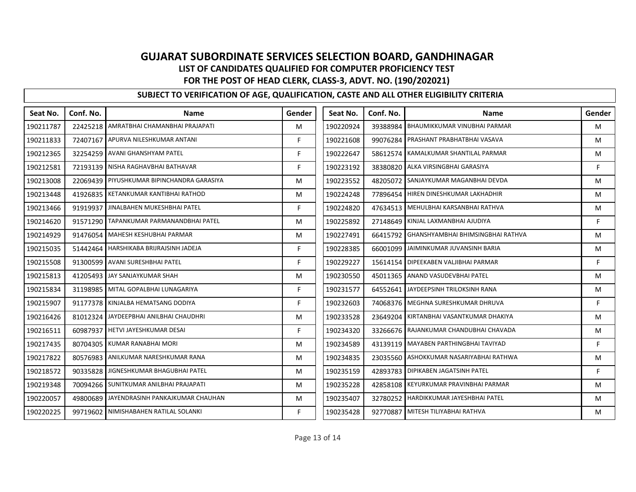| Seat No.  | Conf. No. | <b>Name</b>                                | Gender | Seat No.  | Conf. No. | <b>Name</b>                       | Gender |
|-----------|-----------|--------------------------------------------|--------|-----------|-----------|-----------------------------------|--------|
| 190211787 |           | 22425218   AMRATBHAI CHAMANBHAI PRAJAPATI  | м      | 190220924 | 39388984  | BHAUMIKKUMAR VINUBHAI PARMAR      | M      |
| 190211833 |           | 72407167 APURVA NILESHKUMAR ANTANI         | F.     | 190221608 | 99076284  | PRASHANT PRABHATBHAI VASAVA       | M      |
| 190212365 |           | 32254259 AVANI GHANSHYAM PATEL             | F.     | 190222647 | 58612574  | KAMALKUMAR SHANTILAL PARMAR       | M      |
| 190212581 |           | 72193139   NISHA RAGHAVBHAI BATHAVAR       | F      | 190223192 | 38380820  | ALKA VIRSINGBHAI GARASIYA         | F      |
| 190213008 |           | 22069439 PIYUSHKUMAR BIPINCHANDRA GARASIYA | M      | 190223552 | 48205072  | SANJAYKUMAR MAGANBHAI DEVDA       | M      |
| 190213448 |           | 41926835 KETANKUMAR KANTIBHAI RATHOD       | м      | 190224248 | 77896454  | HIREN DINESHKUMAR LAKHADHIR       | м      |
| 190213466 |           | 91919937 JINALBAHEN MUKESHBHAI PATEL       | F      | 190224820 | 47634513  | MEHULBHAI KARSANBHAI RATHVA       | M      |
| 190214620 |           | 91571290 TAPANKUMAR PARMANANDBHAI PATEL    | M      | 190225892 | 27148649  | KINJAL LAXMANBHAI AJUDIYA         | F      |
| 190214929 |           | 91476054 MAHESH KESHUBHAI PARMAR           | м      | 190227491 | 66415792  | GHANSHYAMBHAI BHIMSINGBHAI RATHVA | M      |
| 190215035 |           | 51442464 HARSHIKABA BRIJRAJSINH JADEJA     | F      | 190228385 | 66001099  | JAIMINKUMAR JUVANSINH BARIA       | M      |
| 190215508 |           | 91300599 AVANI SURESHBHAI PATEL            | F.     | 190229227 | 15614154  | DIPEEKABEN VALJIBHAI PARMAR       | F      |
| 190215813 |           | 41205493 JAY SANJAYKUMAR SHAH              | M      | 190230550 | 45011365  | <b>ANAND VASUDEVBHAI PATEL</b>    | M      |
| 190215834 |           | 31198985 MITAL GOPALBHAI LUNAGARIYA        | F.     | 190231577 | 64552641  | JAYDEEPSINH TRILOKSINH RANA       | M      |
| 190215907 |           | 91177378 KINJALBA HEMATSANG DODIYA         | F      | 190232603 | 74068376  | MEGHNA SURESHKUMAR DHRUVA         | F      |
| 190216426 |           | 81012324 JAYDEEPBHAI ANILBHAI CHAUDHRI     | M      | 190233528 | 23649204  | KIRTANBHAI VASANTKUMAR DHAKIYA    | M      |
| 190216511 |           | 60987937   HETVI JAYESHKUMAR DESAI         | F.     | 190234320 | 33266676  | RAJANKUMAR CHANDUBHAI CHAVADA     | M      |
| 190217435 |           | 80704305 KUMAR RANABHAI MORI               | M      | 190234589 | 43139119  | MAYABEN PARTHINGBHAI TAVIYAD      | F      |
| 190217822 |           | 80576983 ANILKUMAR NARESHKUMAR RANA        | M      | 190234835 | 23035560  | ASHOKKUMAR NASARIYABHAI RATHWA    | M      |
| 190218572 | 90335828  | JIGNESHKUMAR BHAGUBHAI PATEL               | м      | 190235159 | 42893783  | DIPIKABEN JAGATSINH PATEL         | F      |
| 190219348 |           | 70094266 SUNITKUMAR ANILBHAI PRAJAPATI     | M      | 190235228 | 42858108  | KEYURKUMAR PRAVINBHAI PARMAR      | M      |
| 190220057 |           | 49800689 JAYENDRASINH PANKAJKUMAR CHAUHAN  | M      | 190235407 | 32780252  | HARDIKKUMAR JAYESHBHAI PATEL      | M      |
| 190220225 |           | 99719602 NIMISHABAHEN RATILAL SOLANKI      | F      | 190235428 | 92770887  | MITESH TILIYABHAI RATHVA          | М      |